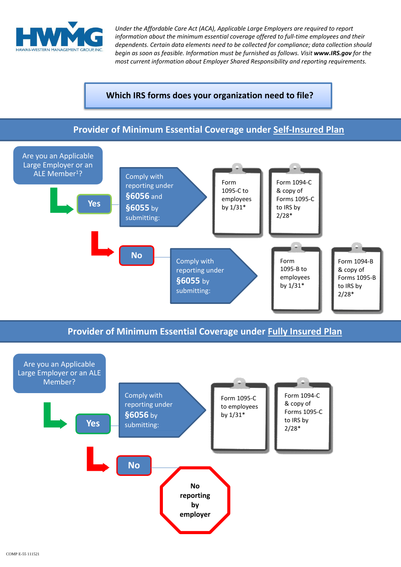

*Under the Affordable Care Act (ACA), Applicable Large Employers are required to report information about the minimum essential coverage offered to full-time employees and their dependents. Certain data elements need to be collected for compliance; data collection should begin as soon as feasible. Information must be furnished as follows. Visit www.IRS.gov for the most current information about Employer Shared Responsibility and reporting requirements.* 

## **Which IRS forms does your organization need to file?**

## **Provider of Minimum Essential Coverage under Self-Insured Plan**



**Provider of Minimum Essential Coverage under Fully Insured Plan**